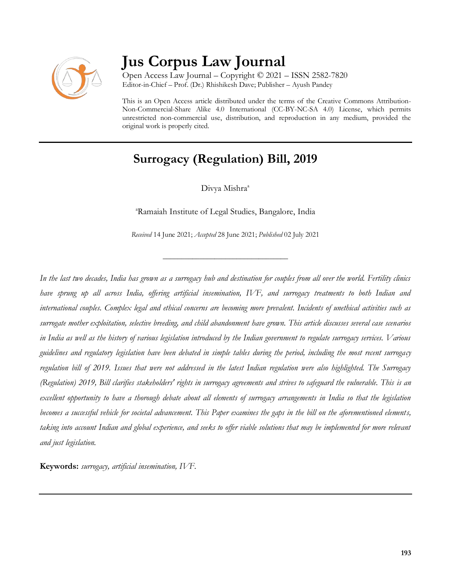

# **Jus Corpus Law Journal**

Open Access Law Journal – Copyright © 2021 – ISSN 2582-7820 Editor-in-Chief – Prof. (Dr.) Rhishikesh Dave; Publisher – Ayush Pandey

This is an Open Access article distributed under the terms of the Creative Commons Attribution-Non-Commercial-Share Alike 4.0 International (CC-BY-NC-SA 4.0) License, which permits unrestricted non-commercial use, distribution, and reproduction in any medium, provided the original work is properly cited.

# **Surrogacy (Regulation) Bill, 2019**

Divya Mishra<sup>a</sup>

<sup>a</sup>Ramaiah Institute of Legal Studies, Bangalore, India

*Received* 14 June 2021; *Accepted* 28 June 2021; *Published* 02 July 2021

\_\_\_\_\_\_\_\_\_\_\_\_\_\_\_\_\_\_\_\_\_\_\_\_\_\_\_\_\_\_\_\_\_\_

*In the last two decades, India has grown as a surrogacy hub and destination for couples from all over the world. Fertility clinics have sprung up all across India, offering artificial insemination, IVF, and surrogacy treatments to both Indian and international couples. Complex legal and ethical concerns are becoming more prevalent. Incidents of unethical activities such as surrogate mother exploitation, selective breeding, and child abandonment have grown. This article discusses several case scenarios in India as well as the history of various legislation introduced by the Indian government to regulate surrogacy services. Various guidelines and regulatory legislation have been debated in simple tables during the period, including the most recent surrogacy regulation bill of 2019. Issues that were not addressed in the latest Indian regulation were also highlighted. The Surrogacy (Regulation) 2019, Bill clarifies stakeholders' rights in surrogacy agreements and strives to safeguard the vulnerable. This is an excellent opportunity to have a thorough debate about all elements of surrogacy arrangements in India so that the legislation becomes a successful vehicle for societal advancement. This Paper examines the gaps in the bill on the aforementioned elements, taking into account Indian and global experience, and seeks to offer viable solutions that may be implemented for more relevant and just legislation.*

**Keywords:** *surrogacy, artificial insemination, IVF.*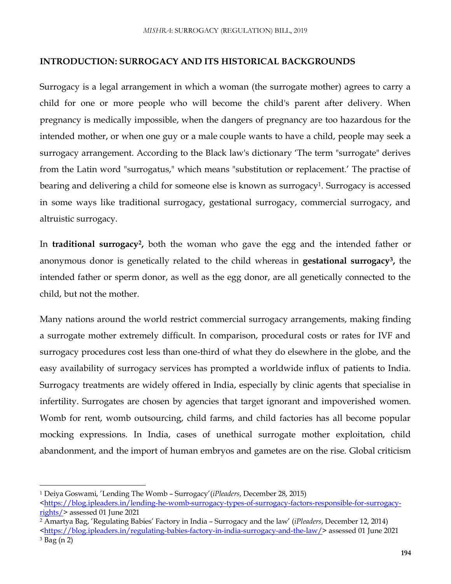#### **INTRODUCTION: SURROGACY AND ITS HISTORICAL BACKGROUNDS**

Surrogacy is a legal arrangement in which a woman (the surrogate mother) agrees to carry a child for one or more people who will become the child's parent after delivery. When pregnancy is medically impossible, when the dangers of pregnancy are too hazardous for the intended mother, or when one guy or a male couple wants to have a child, people may seek a surrogacy arrangement. According to the Black law's dictionary 'The term "surrogate" derives from the Latin word "surrogatus," which means "substitution or replacement.' The practise of bearing and delivering a child for someone else is known as surrogacy<sup>1</sup>. Surrogacy is accessed in some ways like traditional surrogacy, gestational surrogacy, commercial surrogacy, and altruistic surrogacy.

In **traditional surrogacy<sup>2</sup> ,** both the woman who gave the egg and the intended father or anonymous donor is genetically related to the child whereas in **gestational surrogacy<sup>3</sup> ,** the intended father or sperm donor, as well as the egg donor, are all genetically connected to the child, but not the mother.

Many nations around the world restrict commercial surrogacy arrangements, making finding a surrogate mother extremely difficult. In comparison, procedural costs or rates for IVF and surrogacy procedures cost less than one-third of what they do elsewhere in the globe, and the easy availability of surrogacy services has prompted a worldwide influx of patients to India. Surrogacy treatments are widely offered in India, especially by clinic agents that specialise in infertility. Surrogates are chosen by agencies that target ignorant and impoverished women. Womb for rent, womb outsourcing, child farms, and child factories has all become popular mocking expressions. In India, cases of unethical surrogate mother exploitation, child abandonment, and the import of human embryos and gametes are on the rise. Global criticism

 $\overline{a}$ 

<sup>2</sup> Amartya Bag, 'Regulating Babies' Factory in India – Surrogacy and the law' (*iPleaders*, December 12, 2014)

<sup>1</sup> Deiya Goswami, 'Lending The Womb – Surrogacy'(*iPleaders*, December 28, 2015)

[<sup>&</sup>lt;https://blog.ipleaders.in/lending-he-womb-surrogacy-types-of-surrogacy-factors-responsible-for-surrogacy](https://blog.ipleaders.in/lending-he-womb-surrogacy-types-of-surrogacy-factors-responsible-for-surrogacy-rights/)[rights/>](https://blog.ipleaders.in/lending-he-womb-surrogacy-types-of-surrogacy-factors-responsible-for-surrogacy-rights/) assessed 01 June 2021

[<sup>&</sup>lt;https://blog.ipleaders.in/regulating-babies-factory-in-india-surrogacy-and-the-law/>](https://blog.ipleaders.in/regulating-babies-factory-in-india-surrogacy-and-the-law/) assessed 01 June 2021  $3$  Bag (n 2)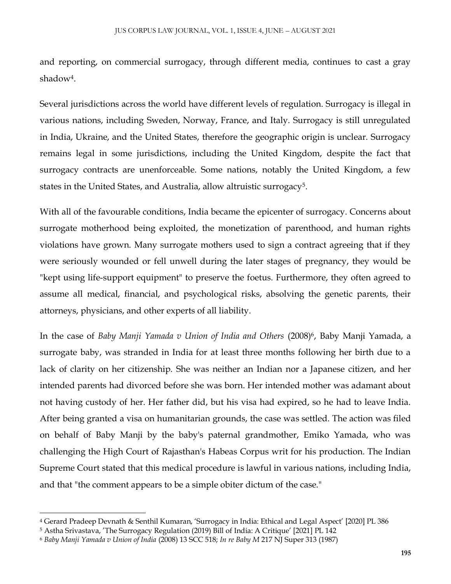and reporting, on commercial surrogacy, through different media, continues to cast a gray shadow<sup>4</sup> .

Several jurisdictions across the world have different levels of regulation. Surrogacy is illegal in various nations, including Sweden, Norway, France, and Italy. Surrogacy is still unregulated in India, Ukraine, and the United States, therefore the geographic origin is unclear. Surrogacy remains legal in some jurisdictions, including the United Kingdom, despite the fact that surrogacy contracts are unenforceable. Some nations, notably the United Kingdom, a few states in the United States, and Australia, allow altruistic surrogacy<sup>5</sup>.

With all of the favourable conditions, India became the epicenter of surrogacy. Concerns about surrogate motherhood being exploited, the monetization of parenthood, and human rights violations have grown. Many surrogate mothers used to sign a contract agreeing that if they were seriously wounded or fell unwell during the later stages of pregnancy, they would be "kept using life-support equipment" to preserve the foetus. Furthermore, they often agreed to assume all medical, financial, and psychological risks, absolving the genetic parents, their attorneys, physicians, and other experts of all liability.

In the case of *Baby Manji Yamada v Union of India and Others* (2008)<sup>6</sup> , Baby Manji Yamada, a surrogate baby, was stranded in India for at least three months following her birth due to a lack of clarity on her citizenship. She was neither an Indian nor a Japanese citizen, and her intended parents had divorced before she was born. Her intended mother was adamant about not having custody of her. Her father did, but his visa had expired, so he had to leave India. After being granted a visa on humanitarian grounds, the case was settled. The action was filed on behalf of Baby Manji by the baby's paternal grandmother, Emiko Yamada, who was challenging the High Court of Rajasthan's Habeas Corpus writ for his production. The Indian Supreme Court stated that this medical procedure is lawful in various nations, including India, and that "the comment appears to be a simple obiter dictum of the case."

 $\overline{\phantom{a}}$ 

<sup>4</sup> Gerard Pradeep Devnath & Senthil Kumaran, 'Surrogacy in India: Ethical and Legal Aspect' [2020] PL 386

<sup>5</sup> Astha Srivastava, 'The Surrogacy Regulation (2019) Bill of India: A Critique' [2021] PL 142

<sup>6</sup> *Baby Manji Yamada v Union of India* (2008) 13 SCC 518; *In re Baby M* 217 NJ Super 313 (1987)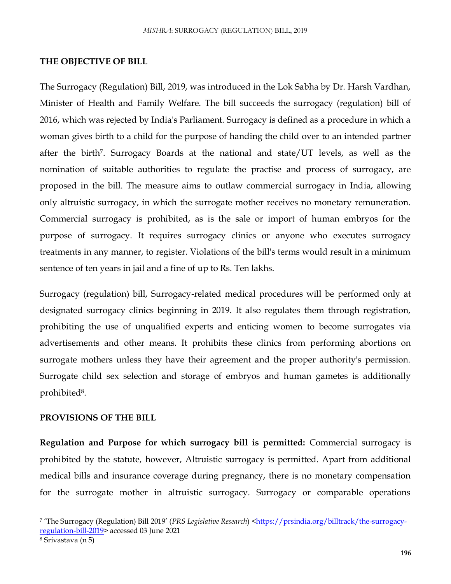#### **THE OBJECTIVE OF BILL**

The Surrogacy (Regulation) Bill, 2019, was introduced in the Lok Sabha by Dr. Harsh Vardhan, Minister of Health and Family Welfare. The bill succeeds the surrogacy (regulation) bill of 2016, which was rejected by India's Parliament. Surrogacy is defined as a procedure in which a woman gives birth to a child for the purpose of handing the child over to an intended partner after the birth<sup>7</sup> . Surrogacy Boards at the national and state/UT levels, as well as the nomination of suitable authorities to regulate the practise and process of surrogacy, are proposed in the bill. The measure aims to outlaw commercial surrogacy in India, allowing only altruistic surrogacy, in which the surrogate mother receives no monetary remuneration. Commercial surrogacy is prohibited, as is the sale or import of human embryos for the purpose of surrogacy. It requires surrogacy clinics or anyone who executes surrogacy treatments in any manner, to register. Violations of the bill's terms would result in a minimum sentence of ten years in jail and a fine of up to Rs. Ten lakhs.

Surrogacy (regulation) bill, Surrogacy-related medical procedures will be performed only at designated surrogacy clinics beginning in 2019. It also regulates them through registration, prohibiting the use of unqualified experts and enticing women to become surrogates via advertisements and other means. It prohibits these clinics from performing abortions on surrogate mothers unless they have their agreement and the proper authority's permission. Surrogate child sex selection and storage of embryos and human gametes is additionally prohibited<sup>8</sup>.

## **PROVISIONS OF THE BILL**

**Regulation and Purpose for which surrogacy bill is permitted:** Commercial surrogacy is prohibited by the statute, however, Altruistic surrogacy is permitted. Apart from additional medical bills and insurance coverage during pregnancy, there is no monetary compensation for the surrogate mother in altruistic surrogacy. Surrogacy or comparable operations

 $\overline{\phantom{a}}$ 

<sup>7</sup> 'The Surrogacy (Regulation) Bill 2019' (*PRS Legislative Research*) [<https://prsindia.org/billtrack/the-surrogacy](https://prsindia.org/billtrack/the-surrogacy-regulation-bill-2019)[regulation-bill-2019>](https://prsindia.org/billtrack/the-surrogacy-regulation-bill-2019) accessed 03 June 2021

<sup>8</sup> Srivastava (n 5)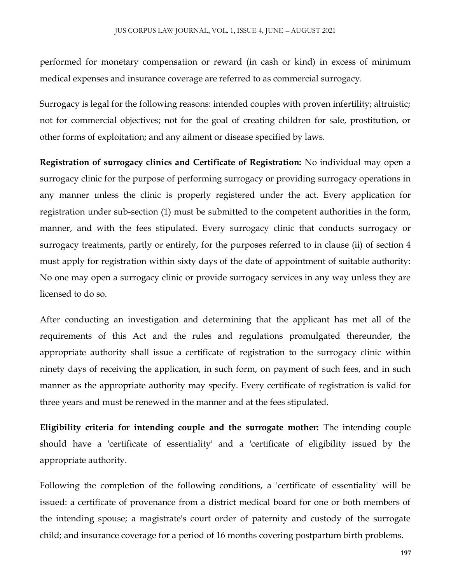performed for monetary compensation or reward (in cash or kind) in excess of minimum medical expenses and insurance coverage are referred to as commercial surrogacy.

Surrogacy is legal for the following reasons: intended couples with proven infertility; altruistic; not for commercial objectives; not for the goal of creating children for sale, prostitution, or other forms of exploitation; and any ailment or disease specified by laws.

**Registration of surrogacy clinics and Certificate of Registration:** No individual may open a surrogacy clinic for the purpose of performing surrogacy or providing surrogacy operations in any manner unless the clinic is properly registered under the act. Every application for registration under sub-section (1) must be submitted to the competent authorities in the form, manner, and with the fees stipulated. Every surrogacy clinic that conducts surrogacy or surrogacy treatments, partly or entirely, for the purposes referred to in clause (ii) of section 4 must apply for registration within sixty days of the date of appointment of suitable authority: No one may open a surrogacy clinic or provide surrogacy services in any way unless they are licensed to do so.

After conducting an investigation and determining that the applicant has met all of the requirements of this Act and the rules and regulations promulgated thereunder, the appropriate authority shall issue a certificate of registration to the surrogacy clinic within ninety days of receiving the application, in such form, on payment of such fees, and in such manner as the appropriate authority may specify. Every certificate of registration is valid for three years and must be renewed in the manner and at the fees stipulated.

**Eligibility criteria for intending couple and the surrogate mother:** The intending couple should have a 'certificate of essentiality' and a 'certificate of eligibility issued by the appropriate authority.

Following the completion of the following conditions, a 'certificate of essentiality' will be issued: a certificate of provenance from a district medical board for one or both members of the intending spouse; a magistrate's court order of paternity and custody of the surrogate child; and insurance coverage for a period of 16 months covering postpartum birth problems.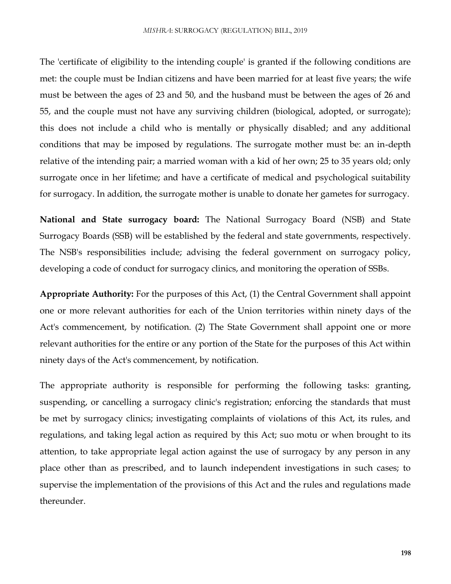The 'certificate of eligibility to the intending couple' is granted if the following conditions are met: the couple must be Indian citizens and have been married for at least five years; the wife must be between the ages of 23 and 50, and the husband must be between the ages of 26 and 55, and the couple must not have any surviving children (biological, adopted, or surrogate); this does not include a child who is mentally or physically disabled; and any additional conditions that may be imposed by regulations. The surrogate mother must be: an in-depth relative of the intending pair; a married woman with a kid of her own; 25 to 35 years old; only surrogate once in her lifetime; and have a certificate of medical and psychological suitability for surrogacy. In addition, the surrogate mother is unable to donate her gametes for surrogacy.

**National and State surrogacy board:** The National Surrogacy Board (NSB) and State Surrogacy Boards (SSB) will be established by the federal and state governments, respectively. The NSB's responsibilities include; advising the federal government on surrogacy policy, developing a code of conduct for surrogacy clinics, and monitoring the operation of SSBs.

**Appropriate Authority:** For the purposes of this Act, (1) the Central Government shall appoint one or more relevant authorities for each of the Union territories within ninety days of the Act's commencement, by notification. (2) The State Government shall appoint one or more relevant authorities for the entire or any portion of the State for the purposes of this Act within ninety days of the Act's commencement, by notification.

The appropriate authority is responsible for performing the following tasks: granting, suspending, or cancelling a surrogacy clinic's registration; enforcing the standards that must be met by surrogacy clinics; investigating complaints of violations of this Act, its rules, and regulations, and taking legal action as required by this Act; suo motu or when brought to its attention, to take appropriate legal action against the use of surrogacy by any person in any place other than as prescribed, and to launch independent investigations in such cases; to supervise the implementation of the provisions of this Act and the rules and regulations made thereunder.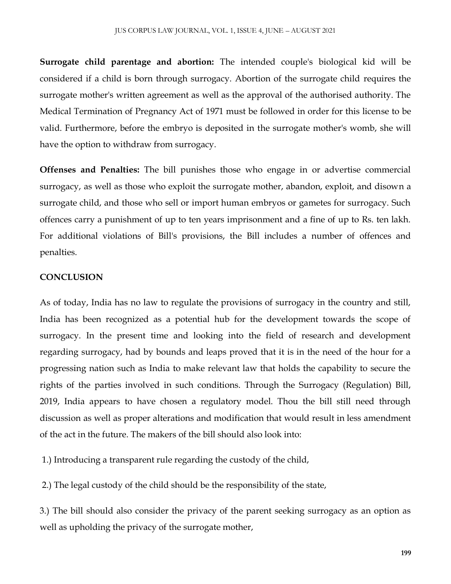**Surrogate child parentage and abortion:** The intended couple's biological kid will be considered if a child is born through surrogacy. Abortion of the surrogate child requires the surrogate mother's written agreement as well as the approval of the authorised authority. The Medical Termination of Pregnancy Act of 1971 must be followed in order for this license to be valid. Furthermore, before the embryo is deposited in the surrogate mother's womb, she will have the option to withdraw from surrogacy.

**Offenses and Penalties:** The bill punishes those who engage in or advertise commercial surrogacy, as well as those who exploit the surrogate mother, abandon, exploit, and disown a surrogate child, and those who sell or import human embryos or gametes for surrogacy. Such offences carry a punishment of up to ten years imprisonment and a fine of up to Rs. ten lakh. For additional violations of Bill's provisions, the Bill includes a number of offences and penalties.

## **CONCLUSION**

As of today, India has no law to regulate the provisions of surrogacy in the country and still, India has been recognized as a potential hub for the development towards the scope of surrogacy. In the present time and looking into the field of research and development regarding surrogacy, had by bounds and leaps proved that it is in the need of the hour for a progressing nation such as India to make relevant law that holds the capability to secure the rights of the parties involved in such conditions. Through the Surrogacy (Regulation) Bill, 2019, India appears to have chosen a regulatory model. Thou the bill still need through discussion as well as proper alterations and modification that would result in less amendment of the act in the future. The makers of the bill should also look into:

1.) Introducing a transparent rule regarding the custody of the child,

2.) The legal custody of the child should be the responsibility of the state,

3.) The bill should also consider the privacy of the parent seeking surrogacy as an option as well as upholding the privacy of the surrogate mother,